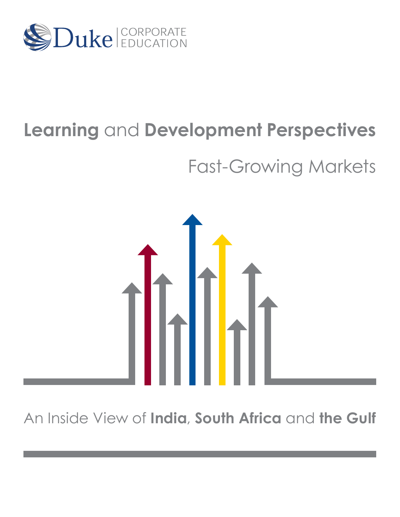

# **Learning** and **Development Perspectives**

# Fast-Growing Markets



An Inside View of **India**, **South Africa** and **the Gulf**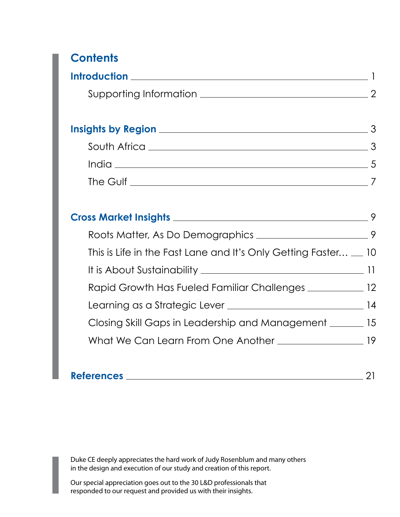# **Contents**

| <b>Introduction</b>    |  |
|------------------------|--|
| Supporting Information |  |

| <b>Insights by Region</b> |  |
|---------------------------|--|
| South Africa              |  |
| India                     |  |
| The Gulf                  |  |

|                                                                      | 9 |
|----------------------------------------------------------------------|---|
| This is Life in the Fast Lane and It's Only Getting Faster $\_\_$ 10 |   |
|                                                                      |   |
| Rapid Growth Has Fueled Familiar Challenges _____________ 12         |   |
|                                                                      |   |
| Closing Skill Gaps in Leadership and Management _______ 15           |   |
|                                                                      |   |
|                                                                      |   |

| <b>References</b> |  |
|-------------------|--|
|                   |  |

Duke CE deeply appreciates the hard work of Judy Rosenblum and many others in the design and execution of our study and creation of this report.

Our special appreciation goes out to the 30 L&D professionals that responded to our request and provided us with their insights.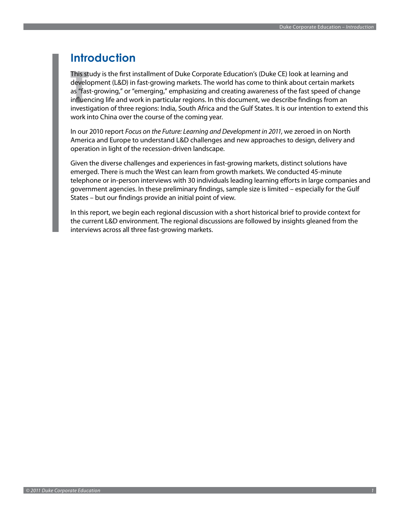### <span id="page-2-0"></span>**Introduction**

This study is the first installment of Duke Corporate Education's (Duke CE) look at learning and development (L&D) in fast-growing markets. The world has come to think about certain markets as "fast-growing," or "emerging," emphasizing and creating awareness of the fast speed of change influencing life and work in particular regions. In this document, we describe findings from an investigation of three regions: India, South Africa and the Gulf States. It is our intention to extend this work into China over the course of the coming year.

In our 2010 report *Focus on the Future: Learning and Development in 2011*, we zeroed in on North America and Europe to understand L&D challenges and new approaches to design, delivery and operation in light of the recession-driven landscape.

Given the diverse challenges and experiences in fast-growing markets, distinct solutions have emerged. There is much the West can learn from growth markets. We conducted 45-minute telephone or in-person interviews with 30 individuals leading learning efforts in large companies and government agencies. In these preliminary findings, sample size is limited – especially for the Gulf States – but our findings provide an initial point of view.

In this report, we begin each regional discussion with a short historical brief to provide context for the current L&D environment. The regional discussions are followed by insights gleaned from the interviews across all three fast-growing markets.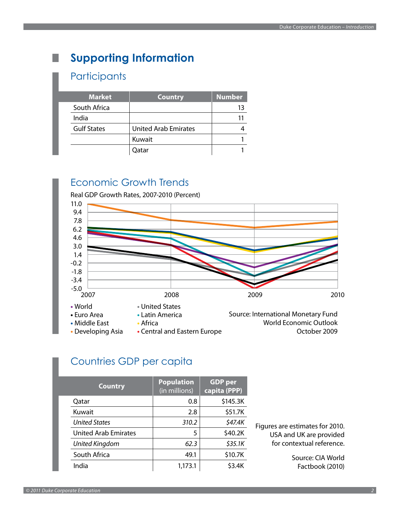# <span id="page-3-0"></span>**Supporting Information**

### **Participants**

| <b>Market</b>      | <b>Country</b>              | <b>Number</b> |
|--------------------|-----------------------------|---------------|
| South Africa       |                             | 13            |
| India              |                             |               |
| <b>Gulf States</b> | <b>United Arab Emirates</b> |               |
|                    | Kuwait                      |               |
|                    | Oatar                       |               |

# Economic Growth Trends



# Countries GDP per capita

| <b>Country</b>              | <b>Population</b><br>(in millions) | <b>GDP</b> per<br>capita (PPP) |
|-----------------------------|------------------------------------|--------------------------------|
| Qatar                       | 0.8                                | \$145.3K                       |
| Kuwait                      | 2.8                                | \$51.7K                        |
| <b>United States</b>        | 310.2                              | \$47.4K                        |
| <b>United Arab Emirates</b> | 5                                  | \$40.2K                        |
| United Kingdom              | 62.3                               | \$35.1K                        |
| South Africa                | 49.1                               | \$10.7K                        |
| India                       | 1,173.1                            | \$3.4K                         |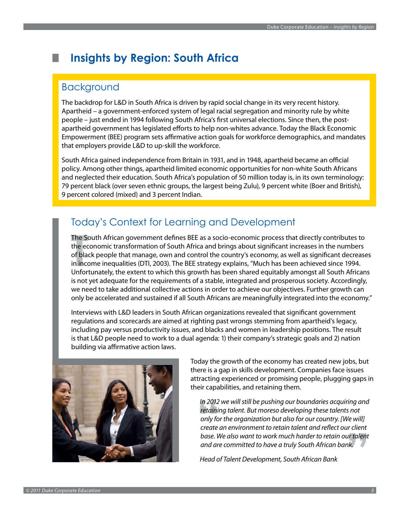# <span id="page-4-0"></span>**Insights by Region: South Africa**

### Background

The backdrop for L&D in South Africa is driven by rapid social change in its very recent history. Apartheid – a government-enforced system of legal racial segregation and minority rule by white people – just ended in 1994 following South Africa's first universal elections. Since then, the postapartheid government has legislated efforts to help non-whites advance. Today the Black Economic Empowerment (BEE) program sets affirmative action goals for workforce demographics, and mandates that employers provide L&D to up-skill the workforce.

South Africa gained independence from Britain in 1931, and in 1948, apartheid became an official policy. Among other things, apartheid limited economic opportunities for non-white South Africans and neglected their education. South Africa's population of 50 million today is, in its own terminology: 79 percent black (over seven ethnic groups, the largest being Zulu), 9 percent white (Boer and British), 9 percent colored (mixed) and 3 percent Indian.

# Today's Context for Learning and Development

The South African government defines BEE as a socio-economic process that directly contributes to the economic transformation of South Africa and brings about significant increases in the numbers of black people that manage, own and control the country's economy, as well as significant decreases in income inequalities (DTI, 2003). The BEE strategy explains, "Much has been achieved since 1994. Unfortunately, the extent to which this growth has been shared equitably amongst all South Africans is not yet adequate for the requirements of a stable, integrated and prosperous society. Accordingly, we need to take additional collective actions in order to achieve our objectives. Further growth can only be accelerated and sustained if all South Africans are meaningfully integrated into the economy."

Interviews with L&D leaders in South African organizations revealed that significant government regulations and scorecards are aimed at righting past wrongs stemming from apartheid's legacy, including pay versus productivity issues, and blacks and women in leadership positions. The result is that L&D people need to work to a dual agenda: 1) their company's strategic goals and 2) nation building via affirmative action laws.



Today the growth of the economy has created new jobs, but there is a gap in skills development. Companies face issues attracting experienced or promising people, plugging gaps in their capabilities, and retaining them.

 *In 2012 we will still be pushing our boundaries acquiring and retaining talent. But moreso developing these talents not only for the organization but also for our country. [We will] create an environment to retain talent and reflect our client base. We also want to work much harder to retain our talent and are committed to have a truly South African bank.*

 *Head of Talent Development, South African Bank*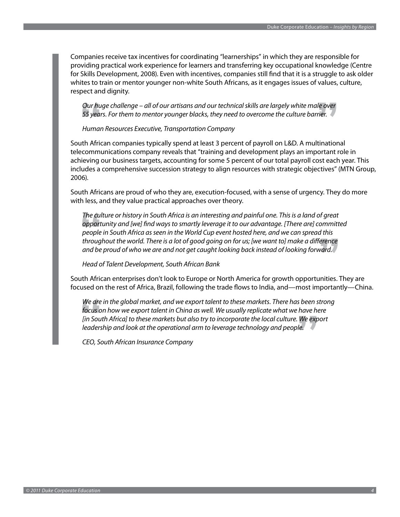Companies receive tax incentives for coordinating "learnerships" in which they are responsible for providing practical work experience for learners and transferring key occupational knowledge (Centre for Skills Development, 2008). Even with incentives, companies still find that it is a struggle to ask older whites to train or mentor younger non-white South Africans, as it engages issues of values, culture, respect and dignity.

 *Our huge challenge – all of our artisans and our technical skills are largely white male over 55 years. For them to mentor younger blacks, they need to overcome the culture barrier.*

 *Human Resources Executive, Transportation Company*

South African companies typically spend at least 3 percent of payroll on L&D. A multinational telecommunications company reveals that "training and development plays an important role in achieving our business targets, accounting for some 5 percent of our total payroll cost each year. This includes a comprehensive succession strategy to align resources with strategic objectives" (MTN Group, 2006).

South Africans are proud of who they are, execution-focused, with a sense of urgency. They do more with less, and they value practical approaches over theory.

 *The culture or history in South Africa is an interesting and painful one. This is a land of great opportunity and [we] find ways to smartly leverage it to our advantage. [There are] committed people in South Africa as seen in the World Cup event hosted here, and we can spread this throughout the world. There is a lot of good going on for us; [we want to] make a difference and be proud of who we are and not get caught looking back instead of looking forward.* 

 *Head of Talent Development, South African Bank* 

South African enterprises don't look to Europe or North America for growth opportunities. They are focused on the rest of Africa, Brazil, following the trade flows to India, and—most importantly—China.

We are in the global market, and we export talent to these markets. There has been strong *focus on how we export talent in China as well. We usually replicate what we have here [in South Africa] to these markets but also try to incorporate the local culture. We export leadership and look at the operational arm to leverage technology and people.* 

 *CEO, South African Insurance Company*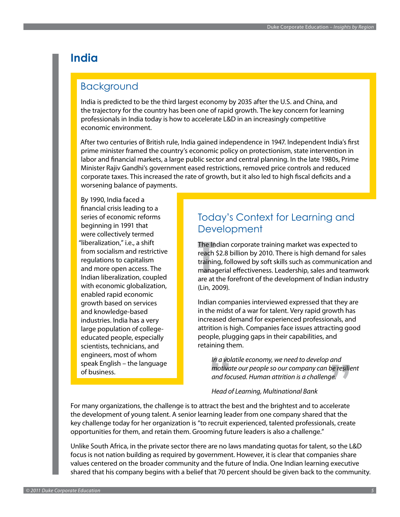# <span id="page-6-0"></span>**India**

### Background

India is predicted to be the third largest economy by 2035 after the U.S. and China, and the trajectory for the country has been one of rapid growth. The key concern for learning professionals in India today is how to accelerate L&D in an increasingly competitive economic environment.

After two centuries of British rule, India gained independence in 1947. Independent India's first prime minister framed the country's economic policy on protectionism, state intervention in labor and financial markets, a large public sector and central planning. In the late 1980s, Prime Minister Rajiv Gandhi's government eased restrictions, removed price controls and reduced corporate taxes. This increased the rate of growth, but it also led to high fiscal deficits and a worsening balance of payments.

By 1990, India faced a financial crisis leading to a series of economic reforms beginning in 1991 that were collectively termed "liberalization," i.e., a shift from socialism and restrictive regulations to capitalism and more open access. The Indian liberalization, coupled with economic globalization, enabled rapid economic growth based on services and knowledge-based industries. India has a very large population of collegeeducated people, especially scientists, technicians, and engineers, most of whom speak English – the language of business.

### Today's Context for Learning and **Development**

The Indian corporate training market was expected to reach \$2.8 billion by 2010. There is high demand for sales training, followed by soft skills such as communication and managerial effectiveness. Leadership, sales and teamwork are at the forefront of the development of Indian industry (Lin, 2009).

Indian companies interviewed expressed that they are in the midst of a war for talent. Very rapid growth has increased demand for experienced professionals, and attrition is high. Companies face issues attracting good people, plugging gaps in their capabilities, and retaining them.

 *In a volatile economy, we need to develop and motivate our people so our company can be resilient and focused. Human attrition is a challenge.*

#### *Head of Learning, Multinational Bank*

For many organizations, the challenge is to attract the best and the brightest and to accelerate the development of young talent. A senior learning leader from one company shared that the key challenge today for her organization is "to recruit experienced, talented professionals, create opportunities for them, and retain them. Grooming future leaders is also a challenge."

Unlike South Africa, in the private sector there are no laws mandating quotas for talent, so the L&D focus is not nation building as required by government. However, it is clear that companies share values centered on the broader community and the future of India. One Indian learning executive shared that his company begins with a belief that 70 percent should be given back to the community.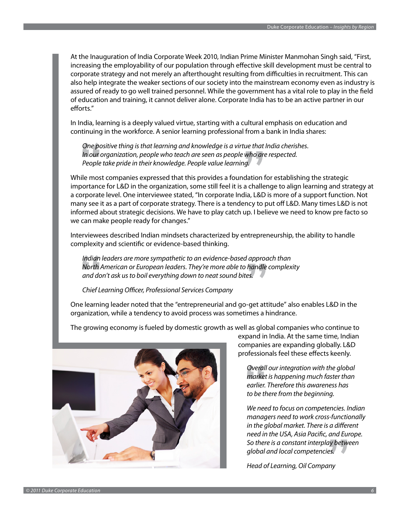At the Inauguration of India Corporate Week 2010, Indian Prime Minister Manmohan Singh said, "First, increasing the employability of our population through effective skill development must be central to corporate strategy and not merely an afterthought resulting from difficulties in recruitment. This can also help integrate the weaker sections of our society into the mainstream economy even as industry is assured of ready to go well trained personnel. While the government has a vital role to play in the field of education and training, it cannot deliver alone. Corporate India has to be an active partner in our efforts."

In India, learning is a deeply valued virtue, starting with a cultural emphasis on education and continuing in the workforce. A senior learning professional from a bank in India shares:

 *One positive thing is that learning and knowledge is a virtue that India cherishes. In our organization, people who teach are seen as people who are respected. People take pride in their knowledge. People value learning.*

While most companies expressed that this provides a foundation for establishing the strategic importance for L&D in the organization, some still feel it is a challenge to align learning and strategy at a corporate level. One interviewee stated, "In corporate India, L&D is more of a support function. Not many see it as a part of corporate strategy. There is a tendency to put off L&D. Many times L&D is not informed about strategic decisions. We have to play catch up. I believe we need to know pre facto so we can make people ready for changes."

Interviewees described Indian mindsets characterized by entrepreneurship, the ability to handle complexity and scientific or evidence-based thinking.

 *Indian leaders are more sympathetic to an evidence-based approach than North American or European leaders. They're more able to handle complexity and don't ask us to boil everything down to neat sound bites.*

#### *Chief Learning Officer, Professional Services Company*

One learning leader noted that the "entrepreneurial and go-get attitude" also enables L&D in the organization, while a tendency to avoid process was sometimes a hindrance.

The growing economy is fueled by domestic growth as well as global companies who continue to



expand in India. At the same time, Indian companies are expanding globally. L&D professionals feel these effects keenly.

 *Overall our integration with the global market is happening much faster than earlier. Therefore this awareness has to be there from the beginning.*

 *We need to focus on competencies. Indian managers need to work cross-functionally in the global market. There is a different need in the USA, Asia Pacific, and Europe. So there is a constant interplay between global and local competencies.*

*Head of Learning, Oil Company*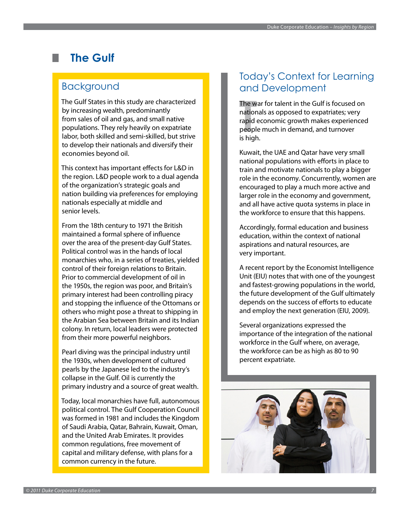# <span id="page-8-0"></span>**The Gulf**

### Background

The Gulf States in this study are characterized by increasing wealth, predominantly from sales of oil and gas, and small native populations. They rely heavily on expatriate labor, both skilled and semi-skilled, but strive to develop their nationals and diversify their economies beyond oil.

This context has important effects for L&D in the region. L&D people work to a dual agenda of the organization's strategic goals and nation building via preferences for employing nationals especially at middle and senior levels.

From the 18th century to 1971 the British maintained a formal sphere of influence over the area of the present-day Gulf States. Political control was in the hands of local monarchies who, in a series of treaties, yielded control of their foreign relations to Britain. Prior to commercial development of oil in the 1950s, the region was poor, and Britain's primary interest had been controlling piracy and stopping the influence of the Ottomans or others who might pose a threat to shipping in the Arabian Sea between Britain and its Indian colony. In return, local leaders were protected from their more powerful neighbors.

Pearl diving was the principal industry until the 1930s, when development of cultured pearls by the Japanese led to the industry's collapse in the Gulf. Oil is currently the primary industry and a source of great wealth.

Today, local monarchies have full, autonomous political control. The Gulf Cooperation Council was formed in 1981 and includes the Kingdom of Saudi Arabia, Qatar, Bahrain, Kuwait, Oman, and the United Arab Emirates. It provides common regulations, free movement of capital and military defense, with plans for a common currency in the future.

## Today's Context for Learning and Development

The war for talent in the Gulf is focused on nationals as opposed to expatriates; very rapid economic growth makes experienced people much in demand, and turnover is high.

Kuwait, the UAE and Qatar have very small national populations with efforts in place to train and motivate nationals to play a bigger role in the economy. Concurrently, women are encouraged to play a much more active and larger role in the economy and government, and all have active quota systems in place in the workforce to ensure that this happens.

Accordingly, formal education and business education, within the context of national aspirations and natural resources, are very important.

A recent report by the Economist Intelligence Unit (EIU) notes that with one of the youngest and fastest-growing populations in the world, the future development of the Gulf ultimately depends on the success of efforts to educate and employ the next generation (EIU, 2009).

Several organizations expressed the importance of the integration of the national workforce in the Gulf where, on average, the workforce can be as high as 80 to 90 percent expatriate.

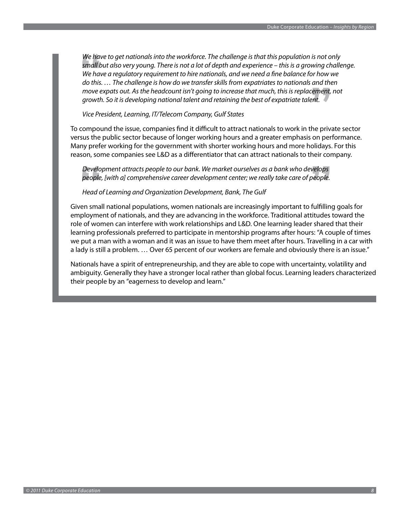*We have to get nationals into the workforce. The challenge is that this population is not only small but also very young. There is not a lot of depth and experience – this is a growing challenge. We have a regulatory requirement to hire nationals, and we need a fine balance for how we do this. … The challenge is how do we transfer skills from expatriates to nationals and then move expats out. As the headcount isn't going to increase that much, this is replacement, not growth. So it is developing national talent and retaining the best of expatriate talent.* 

#### *Vice President, Learning, IT/Telecom Company, Gulf States*

To compound the issue, companies find it difficult to attract nationals to work in the private sector versus the public sector because of longer working hours and a greater emphasis on performance. Many prefer working for the government with shorter working hours and more holidays. For this reason, some companies see L&D as a differentiator that can attract nationals to their company.

 *Development attracts people to our bank. We market ourselves as a bank who develops people, [with a] comprehensive career development center; we really take care of people.* 

#### *Head of Learning and Organization Development, Bank, The Gulf*

Given small national populations, women nationals are increasingly important to fulfilling goals for employment of nationals, and they are advancing in the workforce. Traditional attitudes toward the role of women can interfere with work relationships and L&D. One learning leader shared that their learning professionals preferred to participate in mentorship programs after hours: "A couple of times we put a man with a woman and it was an issue to have them meet after hours. Travelling in a car with a lady is still a problem. … Over 65 percent of our workers are female and obviously there is an issue."

Nationals have a spirit of entrepreneurship, and they are able to cope with uncertainty, volatility and ambiguity. Generally they have a stronger local rather than global focus. Learning leaders characterized their people by an "eagerness to develop and learn."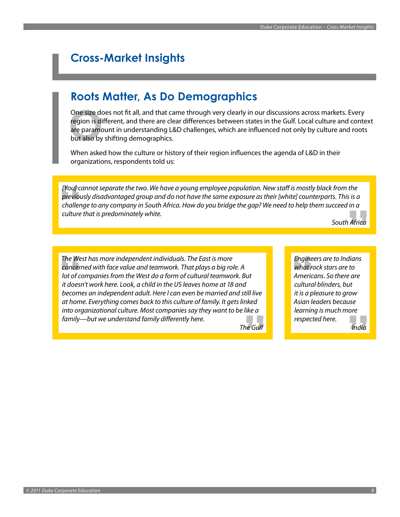# <span id="page-10-0"></span>**Cross-Market Insights**

# **Roots Matter, As Do Demographics**

One size does not fit all, and that came through very clearly in our discussions across markets. Every region is different, and there are clear differences between states in the Gulf. Local culture and context are paramount in understanding L&D challenges, which are influenced not only by culture and roots but also by shifting demographics.

When asked how the culture or history of their region influences the agenda of L&D in their organizations, respondents told us:

*[You] cannot separate the two. We have a young employee population. New staff is mostly black from the previously disadvantaged group and do not have the same exposure as their [white] counterparts. This is a challenge to any company in South Africa. How do you bridge the gap? We need to help them succeed in a culture that is predominately white.*

*South Africa*

*The West has more independent individuals. The East is more concerned with face value and teamwork. That plays a big role. A lot of companies from the West do a form of cultural teamwork. But it doesn't work here. Look, a child in the US leaves home at 18 and becomes an independent adult. Here I can even be married and still live at home. Everything comes back to this culture of family. It gets linked into organizational culture. Most companies say they want to be like a family—but we understand family differently here.*

*The Gulf*

*Engineers are to Indians what rock stars are to Americans. So there are cultural blinders, but it is a pleasure to grow Asian leaders because learning is much more respected here.*

*India*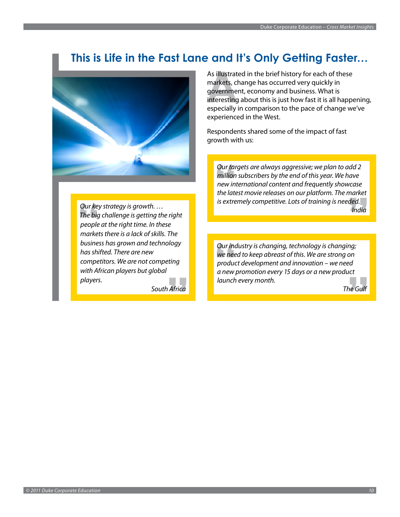# **This is Life in the Fast Lane and It's Only Getting Faster…**

<span id="page-11-0"></span>

*Our key strategy is growth. … The big challenge is getting the right people at the right time. In these markets there is a lack of skills. The business has grown and technology has shifted. There are new competitors. We are not competing with African players but global players.*

*South Africa*

As illustrated in the brief history for each of these markets, change has occurred very quickly in government, economy and business. What is interesting about this is just how fast it is all happening, especially in comparison to the pace of change we've experienced in the West.

Respondents shared some of the impact of fast growth with us:

*Our targets are always aggressive; we plan to add 2 million subscribers by the end of this year. We have new international content and frequently showcase the latest movie releases on our platform. The market is extremely competitive. Lots of training is needed. India*

*Our industry is changing, technology is changing; we need to keep abreast of this. We are strong on product development and innovation – we need a new promotion every 15 days or a new product launch every month.*

*The Gulf*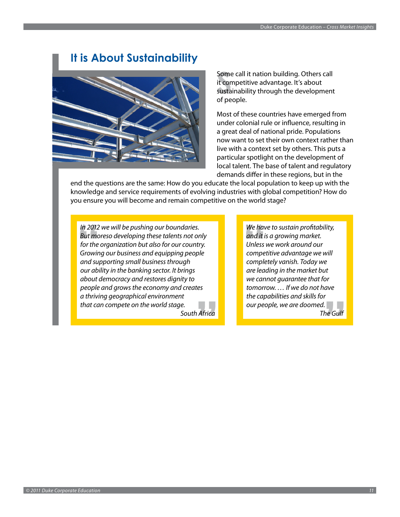# **It is About Sustainability**

<span id="page-12-0"></span>

Some call it nation building. Others call it competitive advantage. It's about sustainability through the development of people.

Most of these countries have emerged from under colonial rule or influence, resulting in a great deal of national pride. Populations now want to set their own context rather than live with a context set by others. This puts a particular spotlight on the development of local talent. The base of talent and regulatory demands differ in these regions, but in the

end the questions are the same: How do you educate the local population to keep up with the knowledge and service requirements of evolving industries with global competition? How do you ensure you will become and remain competitive on the world stage?

*In 2012 we will be pushing our boundaries. But moreso developing these talents not only for the organization but also for our country. Growing our business and equipping people and supporting small business through our ability in the banking sector. It brings about democracy and restores dignity to people and grows the economy and creates a thriving geographical environment that can compete on the world stage. South Africa*

*We have to sustain profitability, and it is a growing market. Unless we work around our competitive advantage we will completely vanish. Today we are leading in the market but we cannot guarantee that for tomorrow. … If we do not have the capabilities and skills for our people, we are doomed.*

*The Gulf*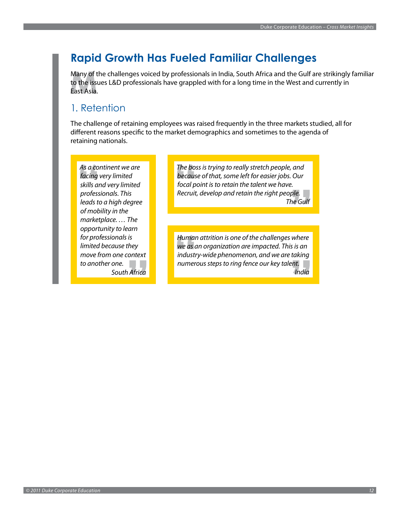# <span id="page-13-0"></span>**Rapid Growth Has Fueled Familiar Challenges**

Many of the challenges voiced by professionals in India, South Africa and the Gulf are strikingly familiar to the issues L&D professionals have grappled with for a long time in the West and currently in East Asia.

### 1. Retention

The challenge of retaining employees was raised frequently in the three markets studied, all for different reasons specific to the market demographics and sometimes to the agenda of retaining nationals.

*As a continent we are facing very limited skills and very limited professionals. This leads to a high degree of mobility in the marketplace. … The opportunity to learn for professionals is limited because they move from one context to another one. South Africa*

*The boss is trying to really stretch people, and because of that, some left for easier jobs. Our focal point is to retain the talent we have. Recruit, develop and retain the right people. The Gulf*

*Human attrition is one of the challenges where we as an organization are impacted. This is an industry-wide phenomenon, and we are taking numerous steps to ring fence our key talent. India*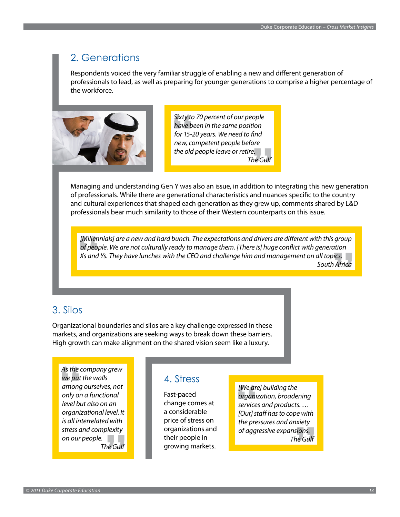### 2. Generations

Respondents voiced the very familiar struggle of enabling a new and different generation of professionals to lead, as well as preparing for younger generations to comprise a higher percentage of the workforce.



*Sixty to 70 percent of our people have been in the same position for 15-20 years. We need to find new, competent people before the old people leave or retire. The Gulf*

Managing and understanding Gen Y was also an issue, in addition to integrating this new generation of professionals. While there are generational characteristics and nuances specific to the country and cultural experiences that shaped each generation as they grew up, comments shared by L&D professionals bear much similarity to those of their Western counterparts on this issue.

*[Millennials] are a new and hard bunch. The expectations and drivers are different with this group of people. We are not culturally ready to manage them. [There is] huge conflict with generation Xs and Ys. They have lunches with the CEO and challenge him and management on all topics. South Africa*

### 3. Silos

Organizational boundaries and silos are a key challenge expressed in these markets, and organizations are seeking ways to break down these barriers. High growth can make alignment on the shared vision seem like a luxury.

*As the company grew we put the walls among ourselves, not only on a functional level but also on an organizational level. It is all interrelated with stress and complexity on our people.* a a *The Gulf*

### 4. Stress

Fast-paced change comes at a considerable price of stress on organizations and their people in growing markets.

*[We are] building the organization, broadening services and products. … [Our] staff has to cope with the pressures and anxiety of aggressive expansions. The Gulf*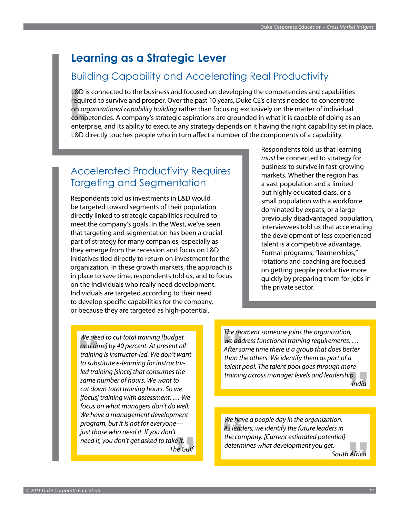# <span id="page-15-0"></span>**Learning as a Strategic Lever**

### Building Capability and Accelerating Real Productivity

L&D is connected to the business and focused on developing the competencies and capabilities required to survive and prosper. Over the past 10 years, Duke CE's clients needed to concentrate on *organizational capability building* rather than focusing exclusively on the matter of individual competencies. A company's strategic aspirations are grounded in what it is capable of doing as an enterprise, and its ability to execute any strategy depends on it having the right capability set in place. L&D directly touches people who in turn affect a number of the components of a capability.

## Accelerated Productivity Requires Targeting and Segmentation

Respondents told us investments in L&D would be targeted toward segments of their population directly linked to strategic capabilities required to meet the company's goals. In the West, we've seen that targeting and segmentation has been a crucial part of strategy for many companies, especially as they emerge from the recession and focus on L&D initiatives tied directly to return on investment for the organization. In these growth markets, the approach is in place to save time, respondents told us, and to focus on the individuals who really need development. Individuals are targeted according to their need to develop specific capabilities for the company, or because they are targeted as high-potential.

Respondents told us that learning *must* be connected to strategy for business to survive in fast-growing markets. Whether the region has a vast population and a limited but highly educated class, or a small population with a workforce dominated by expats, or a large previously disadvantaged population, interviewees told us that accelerating the development of less experienced talent is a competitive advantage. Formal programs, "learnerships," rotations and coaching are focused on getting people productive more quickly by preparing them for jobs in the private sector.

*We need to cut total training [budget and time] by 40 percent. At present all training is instructor-led. We don't want to substitute e-learning for instructorled training [since] that consumes the same number of hours. We want to cut down total training hours. So we [focus] training with assessment. … We focus on what managers don't do well. We have a management development program, but it is not for everyone just those who need it. If you don't need it, you don't get asked to take it. The Gulf* *The moment someone joins the organization, we address functional training requirements. … After some time there is a group that does better than the others. We identify them as part of a talent pool. The talent pool goes through more training across manager levels and leadership. India*

*We have a people day in the organization. As leaders, we identify the future leaders in the company. [Current estimated potential] determines what development you get. South Africa*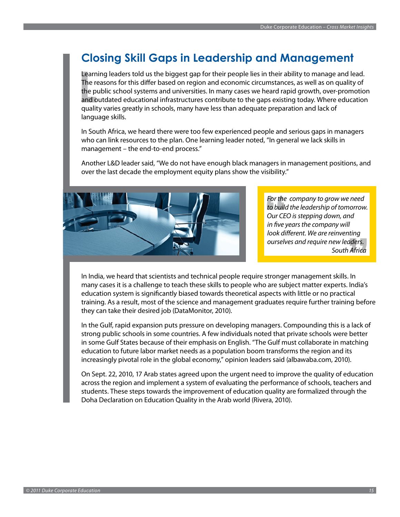# <span id="page-16-0"></span>**Closing Skill Gaps in Leadership and Management**

Learning leaders told us the biggest gap for their people lies in their ability to manage and lead. The reasons for this differ based on region and economic circumstances, as well as on quality of the public school systems and universities. In many cases we heard rapid growth, over-promotion and outdated educational infrastructures contribute to the gaps existing today. Where education quality varies greatly in schools, many have less than adequate preparation and lack of language skills.

In South Africa, we heard there were too few experienced people and serious gaps in managers who can link resources to the plan. One learning leader noted, "In general we lack skills in management – the end-to-end process."

Another L&D leader said, "We do not have enough black managers in management positions, and over the last decade the employment equity plans show the visibility."



*For the company to grow we need to build the leadership of tomorrow. Our CEO is stepping down, and in five years the company will look different. We are reinventing ourselves and require new leaders. South Africa*

In India, we heard that scientists and technical people require stronger management skills. In many cases it is a challenge to teach these skills to people who are subject matter experts. India's education system is significantly biased towards theoretical aspects with little or no practical training. As a result, most of the science and management graduates require further training before they can take their desired job (DataMonitor, 2010).

In the Gulf, rapid expansion puts pressure on developing managers. Compounding this is a lack of strong public schools in some countries. A few individuals noted that private schools were better in some Gulf States because of their emphasis on English. "The Gulf must collaborate in matching education to future labor market needs as a population boom transforms the region and its increasingly pivotal role in the global economy," opinion leaders said (albawaba.com, 2010).

On Sept. 22, 2010, 17 Arab states agreed upon the urgent need to improve the quality of education across the region and implement a system of evaluating the performance of schools, teachers and students. These steps towards the improvement of education quality are formalized through the Doha Declaration on Education Quality in the Arab world (Rivera, 2010).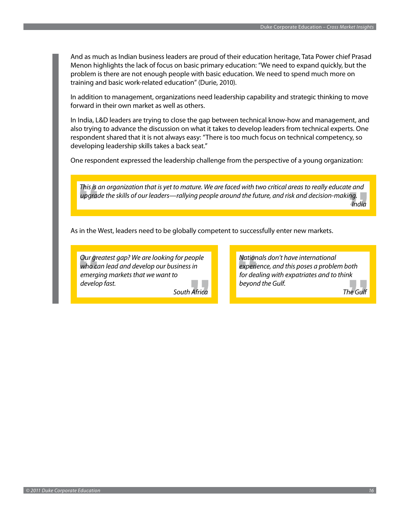And as much as Indian business leaders are proud of their education heritage, Tata Power chief Prasad Menon highlights the lack of focus on basic primary education: "We need to expand quickly, but the problem is there are not enough people with basic education. We need to spend much more on training and basic work-related education" (Durie, 2010).

In addition to management, organizations need leadership capability and strategic thinking to move forward in their own market as well as others.

In India, L&D leaders are trying to close the gap between technical know-how and management, and also trying to advance the discussion on what it takes to develop leaders from technical experts. One respondent shared that it is not always easy: "There is too much focus on technical competency, so developing leadership skills takes a back seat."

One respondent expressed the leadership challenge from the perspective of a young organization:

*This is an organization that is yet to mature. We are faced with two critical areas to really educate and upgrade the skills of our leaders—rallying people around the future, and risk and decision-making. India*

As in the West, leaders need to be globally competent to successfully enter new markets.

*Our greatest gap? We are looking for people who can lead and develop our business in emerging markets that we want to develop fast.*

*South Africa*

*Nationals don't have international experience, and this poses a problem both for dealing with expatriates and to think beyond the Gulf.*

*The Gulf*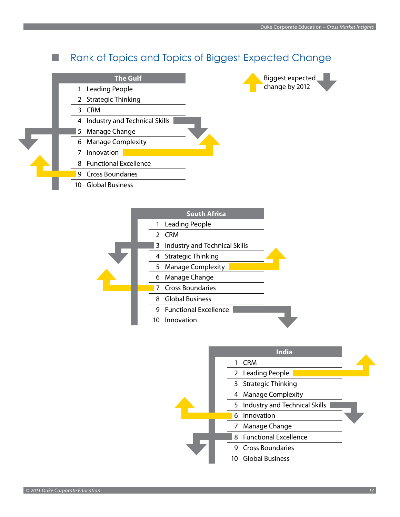#### Rank of Topics and Topics of Biggest Expected Change ×

|    | <b>The Gulf</b>               |  |
|----|-------------------------------|--|
| 1  | <b>Leading People</b>         |  |
|    | 2 Strategic Thinking          |  |
| 3  | <b>CRM</b>                    |  |
| 4  | Industry and Technical Skills |  |
| 5. | Manage Change                 |  |
| 6  | <b>Manage Complexity</b>      |  |
|    | Innovation                    |  |
|    | 8 Functional Excellence       |  |
| 9  | <b>Cross Boundaries</b>       |  |
| 10 | <b>Global Business</b>        |  |



| South Africa                       |  |
|------------------------------------|--|
| 1 Leading People                   |  |
| <b>CRM</b><br>$\mathcal{P}$        |  |
| Industry and Technical Skills<br>3 |  |
| 4 Strategic Thinking               |  |
| <b>Manage Complexity</b><br>5.     |  |
| 6 Manage Change                    |  |
| 7 Cross Boundaries                 |  |
| 8 Global Business                  |  |
| <b>Functional Excellence</b><br>9  |  |
| Innovation                         |  |

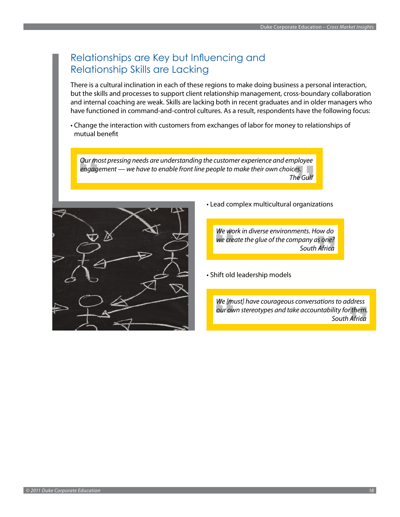### Relationships are Key but Influencing and Relationship Skills are Lacking

There is a cultural inclination in each of these regions to make doing business a personal interaction, but the skills and processes to support client relationship management, cross-boundary collaboration and internal coaching are weak. Skills are lacking both in recent graduates and in older managers who have functioned in command-and-control cultures. As a result, respondents have the following focus:

• Change the interaction with customers from exchanges of labor for money to relationships of mutual benefit

*Our most pressing needs are understanding the customer experience and employee engagement — we have to enable front line people to make their own choices. The Gulf*



• Lead complex multicultural organizations

*We work in diverse environments. How do we create the glue of the company as one? South Africa*

• Shift old leadership models

*We [must] have courageous conversations to address our own stereotypes and take accountability for them. South Africa*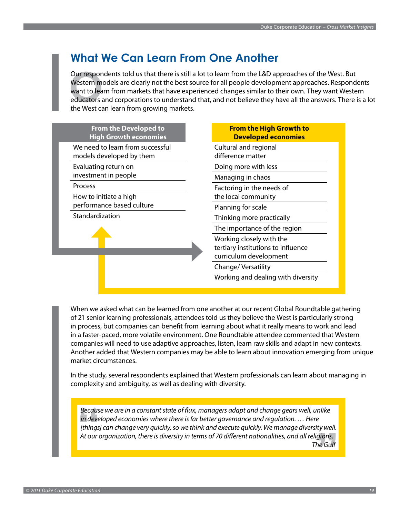# <span id="page-20-0"></span>**What We Can Learn From One Another**

Our respondents told us that there is still a lot to learn from the L&D approaches of the West. But Western models are clearly not the best source for all people development approaches. Respondents want to learn from markets that have experienced changes similar to their own. They want Western educators and corporations to understand that, and not believe they have all the answers. There is a lot the West can learn from growing markets.

| <b>From the Developed to</b><br><b>High Growth economies</b> | <b>From the High Growth to</b><br><b>Developed economies</b>                             |
|--------------------------------------------------------------|------------------------------------------------------------------------------------------|
| We need to learn from successful<br>models developed by them | Cultural and regional<br>difference matter                                               |
| Evaluating return on<br>investment in people                 | Doing more with less                                                                     |
| <b>Process</b>                                               | Managing in chaos<br>Factoring in the needs of                                           |
| How to initiate a high<br>performance based culture          | the local community<br>Planning for scale                                                |
| Standardization                                              | Thinking more practically                                                                |
|                                                              | The importance of the region                                                             |
|                                                              | Working closely with the<br>tertiary institutions to influence<br>curriculum development |
|                                                              | Change/Versatility                                                                       |
|                                                              | Working and dealing with diversity                                                       |

When we asked what can be learned from one another at our recent Global Roundtable gathering of 21 senior learning professionals, attendees told us they believe the West is particularly strong in process, but companies can benefit from learning about what it really means to work and lead in a faster-paced, more volatile environment. One Roundtable attendee commented that Western companies will need to use adaptive approaches, listen, learn raw skills and adapt in new contexts. Another added that Western companies may be able to learn about innovation emerging from unique market circumstances.

In the study, several respondents explained that Western professionals can learn about managing in complexity and ambiguity, as well as dealing with diversity.

*Because we are in a constant state of flux, managers adapt and change gears well, unlike in developed economies where there is far better governance and regulation. … Here [things] can change very quickly, so we think and execute quickly. We manage diversity well. At our organization, there is diversity in terms of 70 different nationalities, and all religions. The Gulf*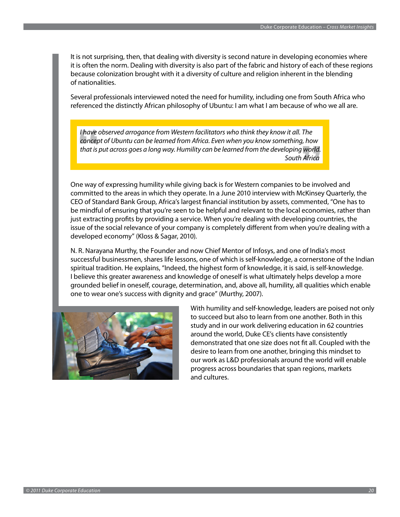It is not surprising, then, that dealing with diversity is second nature in developing economies where it is often the norm. Dealing with diversity is also part of the fabric and history of each of these regions because colonization brought with it a diversity of culture and religion inherent in the blending of nationalities.

Several professionals interviewed noted the need for humility, including one from South Africa who referenced the distinctly African philosophy of Ubuntu: I am what I am because of who we all are.

*I have observed arrogance from Western facilitators who think they know it all. The concept of Ubuntu can be learned from Africa. Even when you know something, how that is put across goes a long way. Humility can be learned from the developing world. South Africa*

One way of expressing humility while giving back is for Western companies to be involved and committed to the areas in which they operate. In a June 2010 interview with McKinsey Quarterly, the CEO of Standard Bank Group, Africa's largest financial institution by assets, commented, "One has to be mindful of ensuring that you're seen to be helpful and relevant to the local economies, rather than just extracting profits by providing a service. When you're dealing with developing countries, the issue of the social relevance of your company is completely different from when you're dealing with a developed economy" (Kloss & Sagar, 2010).

N. R. Narayana Murthy, the Founder and now Chief Mentor of Infosys, and one of India's most successful businessmen, shares life lessons, one of which is self-knowledge, a cornerstone of the Indian spiritual tradition. He explains, "Indeed, the highest form of knowledge, it is said, is self-knowledge. I believe this greater awareness and knowledge of oneself is what ultimately helps develop a more grounded belief in oneself, courage, determination, and, above all, humility, all qualities which enable one to wear one's success with dignity and grace" (Murthy, 2007).



With humility and self-knowledge, leaders are poised not only to succeed but also to learn from one another. Both in this study and in our work delivering education in 62 countries around the world, Duke CE's clients have consistently demonstrated that one size does not fit all. Coupled with the desire to learn from one another, bringing this mindset to our work as L&D professionals around the world will enable progress across boundaries that span regions, markets and cultures.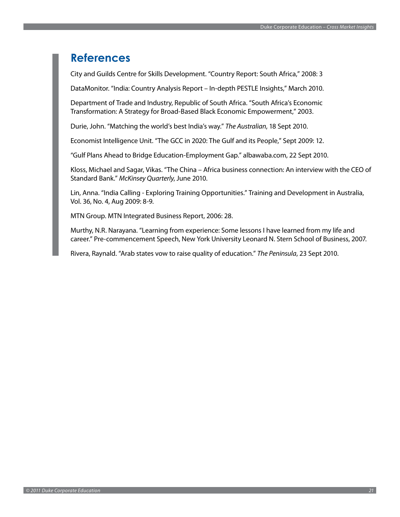### <span id="page-22-0"></span>**References**

City and Guilds Centre for Skills Development. "Country Report: South Africa," 2008: 3

DataMonitor. "India: Country Analysis Report – In-depth PESTLE Insights," March 2010.

Department of Trade and Industry, Republic of South Africa. "South Africa's Economic Transformation: A Strategy for Broad-Based Black Economic Empowerment," 2003.

Durie, John. "Matching the world's best India's way." *The Australian*, 18 Sept 2010.

Economist Intelligence Unit. "The GCC in 2020: The Gulf and its People," Sept 2009: 12.

"Gulf Plans Ahead to Bridge Education-Employment Gap." albawaba.com, 22 Sept 2010.

Kloss, Michael and Sagar, Vikas. "The China – Africa business connection: An interview with the CEO of Standard Bank." *McKinsey Quarterly*, June 2010.

Lin, Anna. "India Calling - Exploring Training Opportunities." Training and Development in Australia, Vol. 36, No. 4, Aug 2009: 8-9.

MTN Group. MTN Integrated Business Report, 2006: 28.

Murthy, N.R. Narayana. "Learning from experience: Some lessons I have learned from my life and career." Pre-commencement Speech, New York University Leonard N. Stern School of Business, 2007.

Rivera, Raynald. "Arab states vow to raise quality of education." *The Peninsula*, 23 Sept 2010.